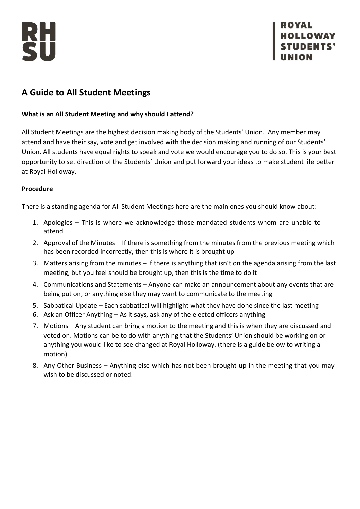



# **A Guide to All Student Meetings**

## **What is an All Student Meeting and why should I attend?**

All Student Meetings are the highest decision making body of the Students' Union. Any member may attend and have their say, vote and get involved with the decision making and running of our Students' Union. All students have equal rights to speak and vote we would encourage you to do so. This is your best opportunity to set direction of the Students' Union and put forward your ideas to make student life better at Royal Holloway.

### **Procedure**

There is a standing agenda for All Student Meetings here are the main ones you should know about:

- 1. Apologies This is where we acknowledge those mandated students whom are unable to attend
- 2. Approval of the Minutes If there is something from the minutes from the previous meeting which has been recorded incorrectly, then this is where it is brought up
- 3. Matters arising from the minutes if there is anything that isn't on the agenda arising from the last meeting, but you feel should be brought up, then this is the time to do it
- 4. Communications and Statements Anyone can make an announcement about any events that are being put on, or anything else they may want to communicate to the meeting
- 5. Sabbatical Update Each sabbatical will highlight what they have done since the last meeting
- 6. Ask an Officer Anything As it says, ask any of the elected officers anything
- 7. Motions Any student can bring a motion to the meeting and this is when they are discussed and voted on. Motions can be to do with anything that the Students' Union should be working on or anything you would like to see changed at Royal Holloway. (there is a guide below to writing a motion)
- 8. Any Other Business Anything else which has not been brought up in the meeting that you may wish to be discussed or noted.